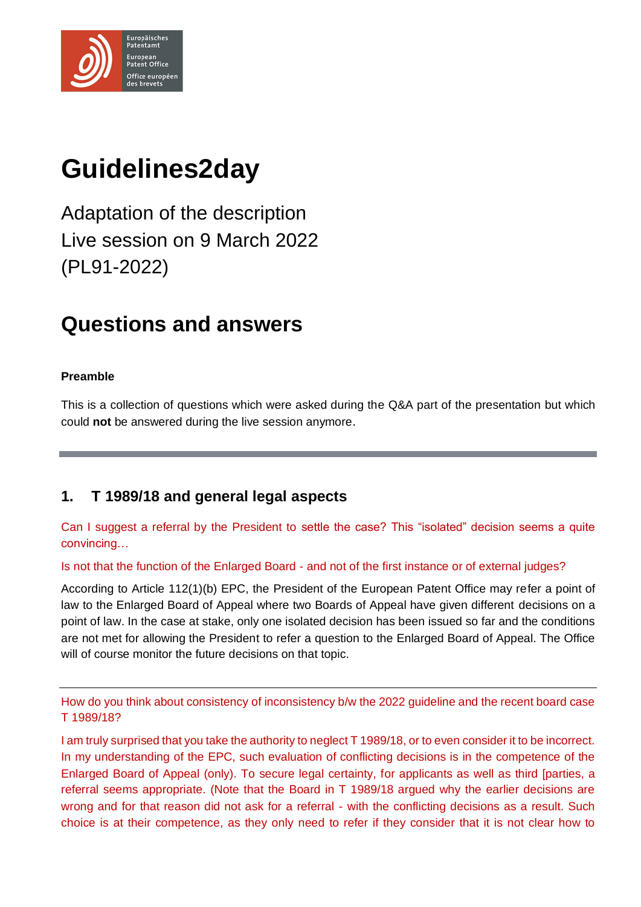

# **Guidelines2day**

Adaptation of the description Live session on 9 March 2022 (PL91-2022)

# **Questions and answers**

#### **Preamble**

This is a collection of questions which were asked during the Q&A part of the presentation but which could **not** be answered during the live session anymore.

# **1. T 1989/18 and general legal aspects**

Can I suggest a referral by the President to settle the case? This "isolated" decision seems a quite convincing…

Is not that the function of the Enlarged Board - and not of the first instance or of external judges?

According to Article 112(1)(b) EPC, the President of the European Patent Office may refer a point of law to the Enlarged Board of Appeal where two Boards of Appeal have given different decisions on a point of law. In the case at stake, only one isolated decision has been issued so far and the conditions are not met for allowing the President to refer a question to the Enlarged Board of Appeal. The Office will of course monitor the future decisions on that topic.

How do you think about consistency of inconsistency b/w the 2022 guideline and the recent board case T 1989/18?

I am truly surprised that you take the authority to neglect T 1989/18, or to even consider it to be incorrect. In my understanding of the EPC, such evaluation of conflicting decisions is in the competence of the Enlarged Board of Appeal (only). To secure legal certainty, for applicants as well as third [parties, a referral seems appropriate. (Note that the Board in T 1989/18 argued why the earlier decisions are wrong and for that reason did not ask for a referral - with the conflicting decisions as a result. Such choice is at their competence, as they only need to refer if they consider that it is not clear how to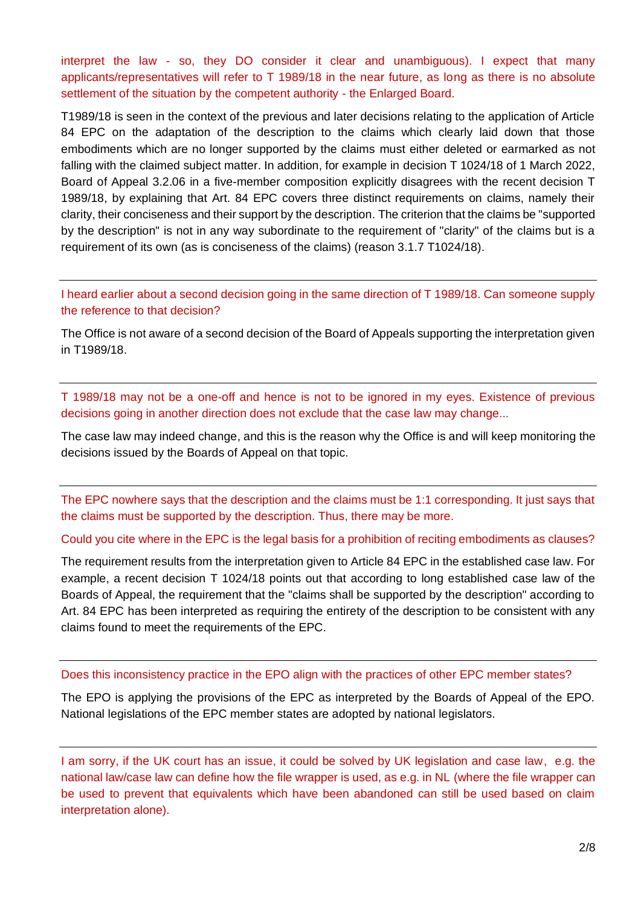interpret the law - so, they DO consider it clear and unambiguous). I expect that many applicants/representatives will refer to T 1989/18 in the near future, as long as there is no absolute settlement of the situation by the competent authority - the Enlarged Board.

T1989/18 is seen in the context of the previous and later decisions relating to the application of Article 84 EPC on the adaptation of the description to the claims which clearly laid down that those embodiments which are no longer supported by the claims must either deleted or earmarked as not falling with the claimed subject matter. In addition, for example in decision T 1024/18 of 1 March 2022, Board of Appeal 3.2.06 in a five-member composition explicitly disagrees with the recent decision T 1989/18, by explaining that Art. 84 EPC covers three distinct requirements on claims, namely their clarity, their conciseness and their support by the description. The criterion that the claims be "supported by the description" is not in any way subordinate to the requirement of "clarity" of the claims but is a requirement of its own (as is conciseness of the claims) (reason 3.1.7 T1024/18).

I heard earlier about a second decision going in the same direction of T 1989/18. Can someone supply the reference to that decision?

The Office is not aware of a second decision of the Board of Appeals supporting the interpretation given in T1989/18.

T 1989/18 may not be a one-off and hence is not to be ignored in my eyes. Existence of previous decisions going in another direction does not exclude that the case law may change...

The case law may indeed change, and this is the reason why the Office is and will keep monitoring the decisions issued by the Boards of Appeal on that topic.

The EPC nowhere says that the description and the claims must be 1:1 corresponding. It just says that the claims must be supported by the description. Thus, there may be more.

Could you cite where in the EPC is the legal basis for a prohibition of reciting embodiments as clauses?

The requirement results from the interpretation given to Article 84 EPC in the established case law. For example, a recent decision T 1024/18 points out that according to long established case law of the Boards of Appeal, the requirement that the "claims shall be supported by the description" according to Art. 84 EPC has been interpreted as requiring the entirety of the description to be consistent with any claims found to meet the requirements of the EPC.

Does this inconsistency practice in the EPO align with the practices of other EPC member states?

The EPO is applying the provisions of the EPC as interpreted by the Boards of Appeal of the EPO. National legislations of the EPC member states are adopted by national legislators.

I am sorry, if the UK court has an issue, it could be solved by UK legislation and case law, e.g. the national law/case law can define how the file wrapper is used, as e.g. in NL (where the file wrapper can be used to prevent that equivalents which have been abandoned can still be used based on claim interpretation alone).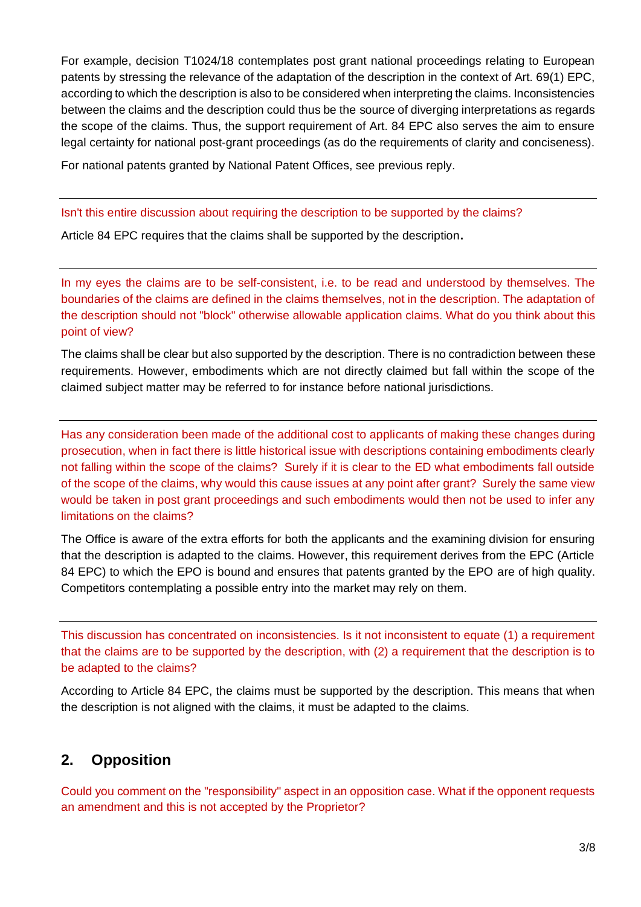For example, decision T1024/18 contemplates post grant national proceedings relating to European patents by stressing the relevance of the adaptation of the description in the context of Art. 69(1) EPC, according to which the description is also to be considered when interpreting the claims. Inconsistencies between the claims and the description could thus be the source of diverging interpretations as regards the scope of the claims. Thus, the support requirement of Art. 84 EPC also serves the aim to ensure legal certainty for national post-grant proceedings (as do the requirements of clarity and conciseness).

For national patents granted by National Patent Offices, see previous reply.

#### Isn't this entire discussion about requiring the description to be supported by the claims?

Article 84 EPC requires that the claims shall be supported by the description**.** 

In my eyes the claims are to be self-consistent, i.e. to be read and understood by themselves. The boundaries of the claims are defined in the claims themselves, not in the description. The adaptation of the description should not "block" otherwise allowable application claims. What do you think about this point of view?

The claims shall be clear but also supported by the description. There is no contradiction between these requirements. However, embodiments which are not directly claimed but fall within the scope of the claimed subject matter may be referred to for instance before national jurisdictions.

Has any consideration been made of the additional cost to applicants of making these changes during prosecution, when in fact there is little historical issue with descriptions containing embodiments clearly not falling within the scope of the claims? Surely if it is clear to the ED what embodiments fall outside of the scope of the claims, why would this cause issues at any point after grant? Surely the same view would be taken in post grant proceedings and such embodiments would then not be used to infer any limitations on the claims?

The Office is aware of the extra efforts for both the applicants and the examining division for ensuring that the description is adapted to the claims. However, this requirement derives from the EPC (Article 84 EPC) to which the EPO is bound and ensures that patents granted by the EPO are of high quality. Competitors contemplating a possible entry into the market may rely on them.

This discussion has concentrated on inconsistencies. Is it not inconsistent to equate (1) a requirement that the claims are to be supported by the description, with (2) a requirement that the description is to be adapted to the claims?

According to Article 84 EPC, the claims must be supported by the description. This means that when the description is not aligned with the claims, it must be adapted to the claims.

# **2. Opposition**

Could you comment on the "responsibility" aspect in an opposition case. What if the opponent requests an amendment and this is not accepted by the Proprietor?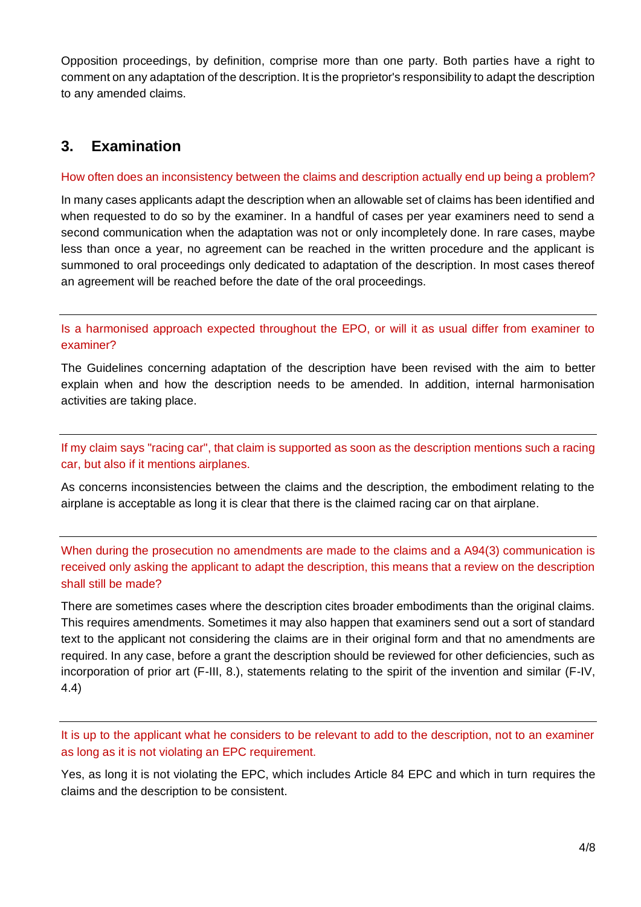Opposition proceedings, by definition, comprise more than one party. Both parties have a right to comment on any adaptation of the description. It is the proprietor's responsibility to adapt the description to any amended claims.

# **3. Examination**

#### How often does an inconsistency between the claims and description actually end up being a problem?

In many cases applicants adapt the description when an allowable set of claims has been identified and when requested to do so by the examiner. In a handful of cases per year examiners need to send a second communication when the adaptation was not or only incompletely done. In rare cases, maybe less than once a year, no agreement can be reached in the written procedure and the applicant is summoned to oral proceedings only dedicated to adaptation of the description. In most cases thereof an agreement will be reached before the date of the oral proceedings.

Is a harmonised approach expected throughout the EPO, or will it as usual differ from examiner to examiner?

The Guidelines concerning adaptation of the description have been revised with the aim to better explain when and how the description needs to be amended. In addition, internal harmonisation activities are taking place.

If my claim says "racing car", that claim is supported as soon as the description mentions such a racing car, but also if it mentions airplanes.

As concerns inconsistencies between the claims and the description, the embodiment relating to the airplane is acceptable as long it is clear that there is the claimed racing car on that airplane.

When during the prosecution no amendments are made to the claims and a A94(3) communication is received only asking the applicant to adapt the description, this means that a review on the description shall still be made?

There are sometimes cases where the description cites broader embodiments than the original claims. This requires amendments. Sometimes it may also happen that examiners send out a sort of standard text to the applicant not considering the claims are in their original form and that no amendments are required. In any case, before a grant the description should be reviewed for other deficiencies, such as incorporation of prior art (F-III, 8.), statements relating to the spirit of the invention and similar (F-IV, 4.4)

It is up to the applicant what he considers to be relevant to add to the description, not to an examiner as long as it is not violating an EPC requirement.

Yes, as long it is not violating the EPC, which includes Article 84 EPC and which in turn requires the claims and the description to be consistent.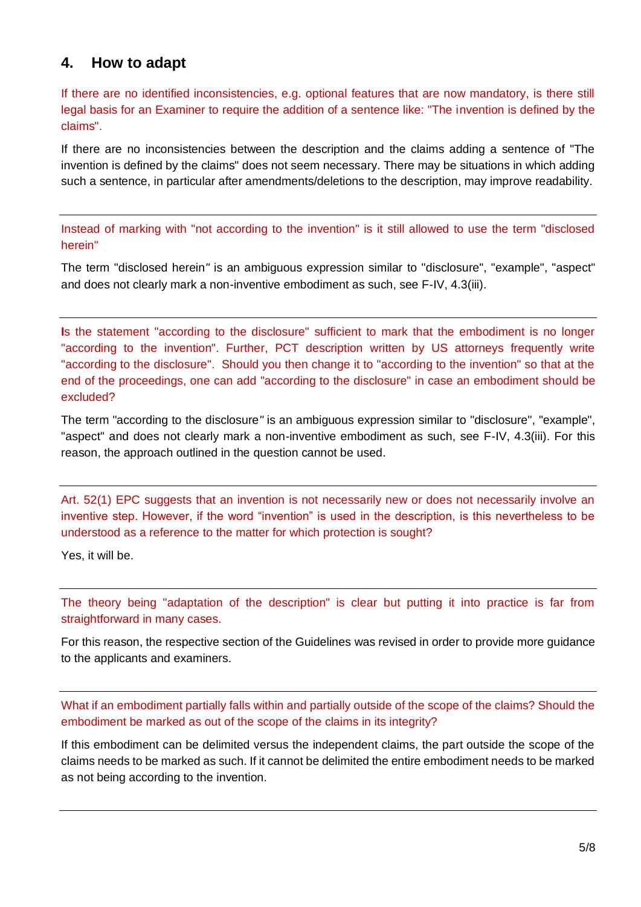### **4. How to adapt**

If there are no identified inconsistencies, e.g. optional features that are now mandatory, is there still legal basis for an Examiner to require the addition of a sentence like: "The invention is defined by the claims".

If there are no inconsistencies between the description and the claims adding a sentence of "The invention is defined by the claims" does not seem necessary. There may be situations in which adding such a sentence, in particular after amendments/deletions to the description, may improve readability.

Instead of marking with "not according to the invention" is it still allowed to use the term "disclosed herein"

The term "disclosed herein*"* is an ambiguous expression similar to "disclosure", "example", "aspect" and does not clearly mark a non-inventive embodiment as such, see F-IV, 4.3(iii).

**I**s the statement "according to the disclosure" sufficient to mark that the embodiment is no longer "according to the invention". Further, PCT description written by US attorneys frequently write "according to the disclosure". Should you then change it to "according to the invention" so that at the end of the proceedings, one can add "according to the disclosure" in case an embodiment should be excluded?

The term "according to the disclosure*"* is an ambiguous expression similar to "disclosure", "example", "aspect" and does not clearly mark a non-inventive embodiment as such, see F-IV, 4.3(iii). For this reason, the approach outlined in the question cannot be used.

Art. 52(1) EPC suggests that an invention is not necessarily new or does not necessarily involve an inventive step. However, if the word "invention" is used in the description, is this nevertheless to be understood as a reference to the matter for which protection is sought?

Yes, it will be.

The theory being "adaptation of the description" is clear but putting it into practice is far from straightforward in many cases.

For this reason, the respective section of the Guidelines was revised in order to provide more guidance to the applicants and examiners.

What if an embodiment partially falls within and partially outside of the scope of the claims? Should the embodiment be marked as out of the scope of the claims in its integrity?

If this embodiment can be delimited versus the independent claims, the part outside the scope of the claims needs to be marked as such. If it cannot be delimited the entire embodiment needs to be marked as not being according to the invention.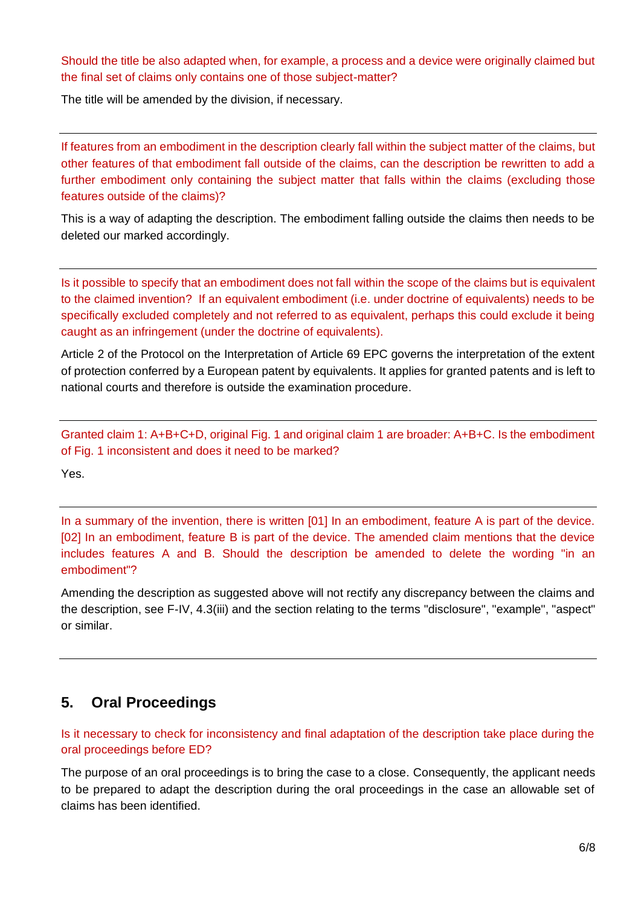Should the title be also adapted when, for example, a process and a device were originally claimed but the final set of claims only contains one of those subject-matter?

The title will be amended by the division, if necessary.

If features from an embodiment in the description clearly fall within the subject matter of the claims, but other features of that embodiment fall outside of the claims, can the description be rewritten to add a further embodiment only containing the subject matter that falls within the claims (excluding those features outside of the claims)?

This is a way of adapting the description. The embodiment falling outside the claims then needs to be deleted our marked accordingly.

Is it possible to specify that an embodiment does not fall within the scope of the claims but is equivalent to the claimed invention? If an equivalent embodiment (i.e. under doctrine of equivalents) needs to be specifically excluded completely and not referred to as equivalent, perhaps this could exclude it being caught as an infringement (under the doctrine of equivalents).

Article 2 of the Protocol on the Interpretation of Article 69 EPC governs the interpretation of the extent of protection conferred by a European patent by equivalents. It applies for granted patents and is left to national courts and therefore is outside the examination procedure.

Granted claim 1: A+B+C+D, original Fig. 1 and original claim 1 are broader: A+B+C. Is the embodiment of Fig. 1 inconsistent and does it need to be marked?

Yes.

In a summary of the invention, there is written [01] In an embodiment, feature A is part of the device. [02] In an embodiment, feature B is part of the device. The amended claim mentions that the device includes features A and B. Should the description be amended to delete the wording "in an embodiment"?

Amending the description as suggested above will not rectify any discrepancy between the claims and the description, see F-IV, 4.3(iii) and the section relating to the terms "disclosure", "example", "aspect" or similar.

#### **5. Oral Proceedings**

Is it necessary to check for inconsistency and final adaptation of the description take place during the oral proceedings before ED?

The purpose of an oral proceedings is to bring the case to a close. Consequently, the applicant needs to be prepared to adapt the description during the oral proceedings in the case an allowable set of claims has been identified.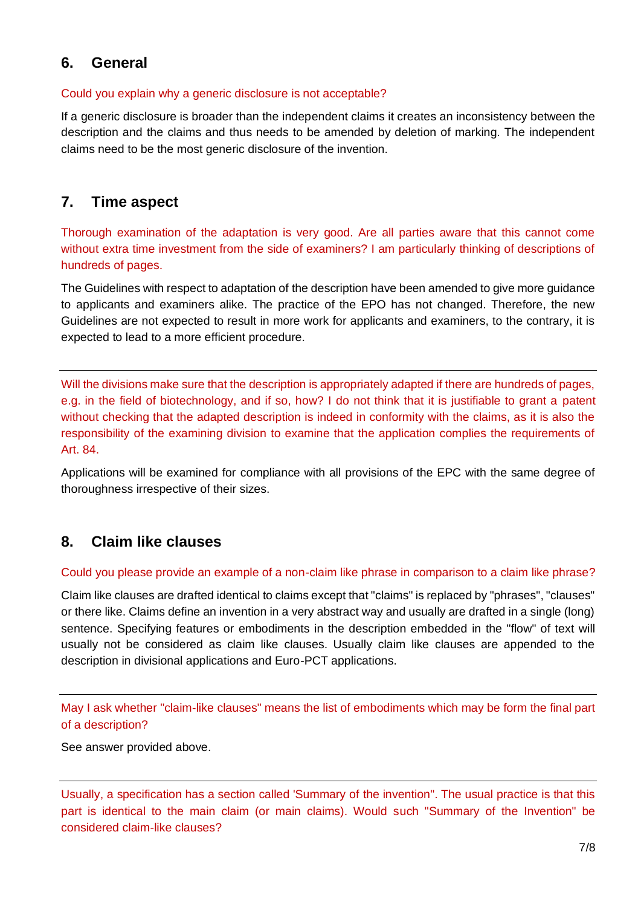### **6. General**

#### Could you explain why a generic disclosure is not acceptable?

If a generic disclosure is broader than the independent claims it creates an inconsistency between the description and the claims and thus needs to be amended by deletion of marking. The independent claims need to be the most generic disclosure of the invention.

## **7. Time aspect**

Thorough examination of the adaptation is very good. Are all parties aware that this cannot come without extra time investment from the side of examiners? I am particularly thinking of descriptions of hundreds of pages.

The Guidelines with respect to adaptation of the description have been amended to give more guidance to applicants and examiners alike. The practice of the EPO has not changed. Therefore, the new Guidelines are not expected to result in more work for applicants and examiners, to the contrary, it is expected to lead to a more efficient procedure.

Will the divisions make sure that the description is appropriately adapted if there are hundreds of pages, e.g. in the field of biotechnology, and if so, how? I do not think that it is justifiable to grant a patent without checking that the adapted description is indeed in conformity with the claims, as it is also the responsibility of the examining division to examine that the application complies the requirements of Art. 84.

Applications will be examined for compliance with all provisions of the EPC with the same degree of thoroughness irrespective of their sizes.

# **8. Claim like clauses**

#### Could you please provide an example of a non-claim like phrase in comparison to a claim like phrase?

Claim like clauses are drafted identical to claims except that "claims" is replaced by "phrases", "clauses" or there like. Claims define an invention in a very abstract way and usually are drafted in a single (long) sentence. Specifying features or embodiments in the description embedded in the "flow" of text will usually not be considered as claim like clauses. Usually claim like clauses are appended to the description in divisional applications and Euro-PCT applications.

May I ask whether "claim-like clauses" means the list of embodiments which may be form the final part of a description?

See answer provided above.

Usually, a specification has a section called 'Summary of the invention". The usual practice is that this part is identical to the main claim (or main claims). Would such "Summary of the Invention" be considered claim-like clauses?